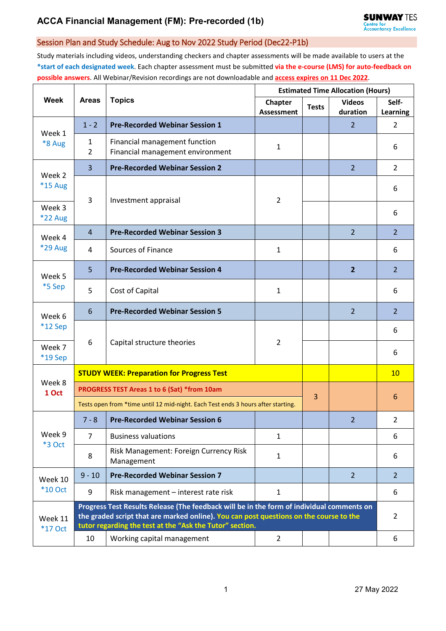# **ACCA Financial Management (FM): Pre-recorded (1b)**

### Session Plan and Study Schedule: Aug to Nov 2022 Study Period (Dec22-P1b)

Study materials including videos, understanding checkers and chapter assessments will be made available to users at the **\*start of each designated week**. Each chapter assessment must be submitted **via the e-course (LMS) for auto-feedback on possible answers**. All Webinar/Revision recordings are not downloadable and **access expires on 11 Dec 2022**.

| Week                      | <b>Areas</b>                                                                                                                                                                                                                                    | <b>Topics</b>                                                     | <b>Estimated Time Allocation (Hours)</b> |              |                |                 |  |
|---------------------------|-------------------------------------------------------------------------------------------------------------------------------------------------------------------------------------------------------------------------------------------------|-------------------------------------------------------------------|------------------------------------------|--------------|----------------|-----------------|--|
|                           |                                                                                                                                                                                                                                                 |                                                                   | Chapter                                  | <b>Tests</b> | <b>Videos</b>  | Self-           |  |
|                           |                                                                                                                                                                                                                                                 |                                                                   | <b>Assessment</b>                        |              | duration       | <b>Learning</b> |  |
| Week 1<br>*8 Aug          | $1 - 2$                                                                                                                                                                                                                                         | <b>Pre-Recorded Webinar Session 1</b>                             |                                          |              | $\overline{2}$ | $\overline{2}$  |  |
|                           | 1<br>$\overline{2}$                                                                                                                                                                                                                             | Financial management function<br>Financial management environment | 1                                        |              |                | 6               |  |
| Week 2<br>*15 Aug         | 3                                                                                                                                                                                                                                               | <b>Pre-Recorded Webinar Session 2</b>                             |                                          |              | $\overline{2}$ | $\overline{2}$  |  |
|                           | 3                                                                                                                                                                                                                                               | Investment appraisal                                              | $\overline{2}$                           |              |                | 6               |  |
| Week 3<br><b>*22 Aug</b>  |                                                                                                                                                                                                                                                 |                                                                   |                                          |              |                | 6               |  |
| Week 4<br>*29 Aug         | $\overline{4}$                                                                                                                                                                                                                                  | <b>Pre-Recorded Webinar Session 3</b>                             |                                          |              | $\overline{2}$ | $\overline{2}$  |  |
|                           | 4                                                                                                                                                                                                                                               | Sources of Finance                                                | $\mathbf{1}$                             |              |                | 6               |  |
| Week 5<br>*5 Sep          | 5                                                                                                                                                                                                                                               | <b>Pre-Recorded Webinar Session 4</b>                             |                                          |              | $\overline{2}$ | $\overline{2}$  |  |
|                           | 5                                                                                                                                                                                                                                               | Cost of Capital                                                   | $\mathbf{1}$                             |              |                | 6               |  |
| Week 6<br>*12 Sep         | 6                                                                                                                                                                                                                                               | <b>Pre-Recorded Webinar Session 5</b>                             |                                          |              | 2              | $\overline{2}$  |  |
|                           | 6                                                                                                                                                                                                                                               | Capital structure theories                                        | $\overline{2}$                           |              |                | 6               |  |
| Week 7<br>*19 Sep         |                                                                                                                                                                                                                                                 |                                                                   |                                          |              |                | 6               |  |
| Week 8<br>1 Oct           | <b>STUDY WEEK: Preparation for Progress Test</b>                                                                                                                                                                                                |                                                                   |                                          |              |                |                 |  |
|                           | PROGRESS TEST Areas 1 to 6 (Sat) *from 10am<br>3                                                                                                                                                                                                |                                                                   |                                          |              |                |                 |  |
|                           | Tests open from *time until 12 mid-night. Each Test ends 3 hours after starting.                                                                                                                                                                |                                                                   |                                          |              |                | 6               |  |
| Week 9<br>*3 Oct          | $7 - 8$                                                                                                                                                                                                                                         | <b>Pre-Recorded Webinar Session 6</b>                             |                                          |              | 2              | $\overline{2}$  |  |
|                           | $\overline{7}$                                                                                                                                                                                                                                  | <b>Business valuations</b>                                        | $\mathbf{1}$                             |              |                | 6               |  |
|                           | $\,8\,$                                                                                                                                                                                                                                         | Risk Management: Foreign Currency Risk<br>Management              | $\mathbf{1}$                             |              |                | 6               |  |
| Week 10<br><b>*10 Oct</b> | $9 - 10$                                                                                                                                                                                                                                        | <b>Pre-Recorded Webinar Session 7</b>                             |                                          |              | $\overline{2}$ | $\overline{2}$  |  |
|                           | 9                                                                                                                                                                                                                                               | Risk management - interest rate risk                              | $\mathbf{1}$                             |              |                | 6               |  |
| Week 11<br><b>*17 Oct</b> | Progress Test Results Release (The feedback will be in the form of individual comments on<br>the graded script that are marked online). You can post questions on the course to the<br>tutor regarding the test at the "Ask the Tutor" section. |                                                                   |                                          |              |                |                 |  |
|                           | 10                                                                                                                                                                                                                                              | Working capital management                                        | $\overline{2}$                           |              |                | 6               |  |